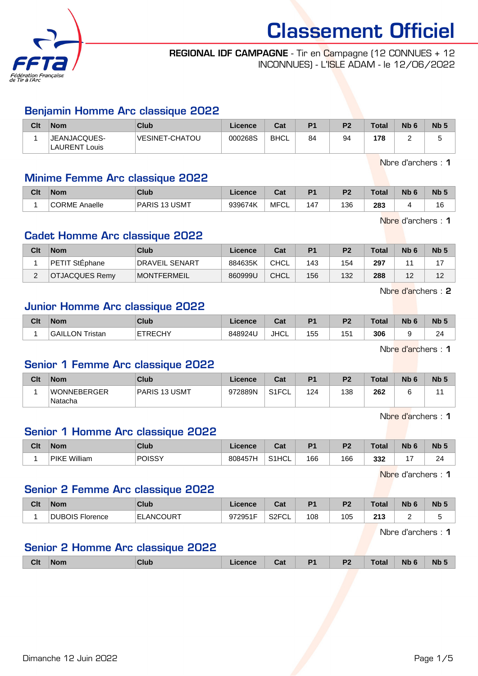

#### REGIONAL IDF CAMPAGNE - Tir en Campagne (12 CONNUES + 12 INCONNUES) - L'ISLE ADAM - le 12/06/2022

# Benjamin Homme Arc classique 2022

| Clt | <b>Nom</b>                    | Club                  | Licence | Cat  | D <sub>1</sub> | P <sub>2</sub> | <b>Total</b> | N <sub>b</sub> 6 | Nb <sub>5</sub>          |
|-----|-------------------------------|-----------------------|---------|------|----------------|----------------|--------------|------------------|--------------------------|
|     | JEANJACQUES-<br>LAURENT Louis | <b>VESINET-CHATOU</b> | 000268S | BHCL | 84             | 94             | 178          | -                | $\overline{\phantom{a}}$ |

Nbre d'archers : 1

## Minime Femme Arc classique 2022

| Clt | <b>Nom</b>              | <b>Club</b>                       | <b>Licence</b> | יה<br>ua      | D <sub>4</sub> | D <sub>2</sub> | <b>Total</b> | <b>Nb</b> | N <sub>b</sub>                 |
|-----|-------------------------|-----------------------------------|----------------|---------------|----------------|----------------|--------------|-----------|--------------------------------|
|     | <b>CORME</b><br>Anaelle | <b>USMT</b><br><b>PARIS</b><br>12 | 939674K        | , MFC'<br>−∪∟ | 47،            | 136            | 283<br>- -   |           | 16<br>$\overline{\phantom{a}}$ |

Nbre d'archers : 1

## Cadet Homme Arc classique 2022

| Clt | <b>Nom</b>     | Club                  | Licence | Cat         | D <sub>1</sub> | P <sub>2</sub> | <b>Total</b> | N <sub>b</sub> 6 | <b>Nb</b>     |
|-----|----------------|-----------------------|---------|-------------|----------------|----------------|--------------|------------------|---------------|
|     | PETIT StEphane | <b>DRAVEIL SENART</b> | 884635K | CHCL        | 143            | 154            | 297          |                  |               |
|     | OTJACQUES Remy | <b>MONTFERMEIL</b>    | 860999U | <b>CHCL</b> | 156            | 132            | 288          | -                | $\sim$<br>. . |

Nbre d'archers : 2

#### Junior Homme Arc classique 2022

| Clt | <b>Nom</b>      | Club    | Licence | نہ م<br>uai | D <sub>1</sub> | D <sub>2</sub> | $\tau$ <sub>otal</sub> | Nb | <b>Nb</b> |
|-----|-----------------|---------|---------|-------------|----------------|----------------|------------------------|----|-----------|
|     | GAILLON Tristan | ETRECHY | 848924U | <b>JHCL</b> | 155            | 151            | 306                    |    | 24        |

Nbre d'archers : 1

## Senior 1 Femme Arc classique 2022

| Clt | <b>Nom</b>             | <b>Club</b>   | Licence | Cat                | D <sub>1</sub> | P <sub>2</sub> | <b>Total</b> | Nb <sub>6</sub> | N <sub>b</sub> 5 |
|-----|------------------------|---------------|---------|--------------------|----------------|----------------|--------------|-----------------|------------------|
|     | WONNEBERGER<br>Natacha | PARIS 13 USMT | 972889N | S <sub>1</sub> FCL | 124            | 138            | 262          |                 |                  |

Nbre d'archers : 1

## Senior 1 Homme Arc classique 2022

| Clt | <b>Nom</b>   | <b>Club</b>   | Licence | $\sim$<br>⊍વા | D.  | ng. | Total | Nb <sub>0</sub><br>$\overline{\phantom{a}}$ | N <sub>b</sub> <sub>5</sub> |
|-----|--------------|---------------|---------|---------------|-----|-----|-------|---------------------------------------------|-----------------------------|
|     | PIKE William | <b>POISSY</b> | 808457H | S1HCL         | 166 | 166 | 332   |                                             | 24                          |

Nbre d'archers : 1

#### Senior 2 Femme Arc classique 2022

| Clt | <b>Nom</b>      | Club             | Licence            | Cot.<br>ual              | D <sub>1</sub> | D <sub>2</sub> | Total          | <b>Nb</b> | <b>Nb</b> |
|-----|-----------------|------------------|--------------------|--------------------------|----------------|----------------|----------------|-----------|-----------|
|     | DUBOIS Florence | <b>ELANCOURT</b> | 072051F<br>972951F | S <sub>2</sub> FCL<br>◡∟ | 108            | 105            | ດ4 ດ<br>-<br>- |           |           |

Nbre d'archers : 1

## Senior 2 Homme Arc classique 2022

| <b>Clt</b> | <b>Nom</b> | Club | Licence | ud. | D <sub>4</sub> | D <sub>2</sub><br>. .<br>- - | `otal | <b>N<sub>b</sub></b> | <b>Nb</b> |
|------------|------------|------|---------|-----|----------------|------------------------------|-------|----------------------|-----------|
|            |            |      |         |     |                |                              |       |                      |           |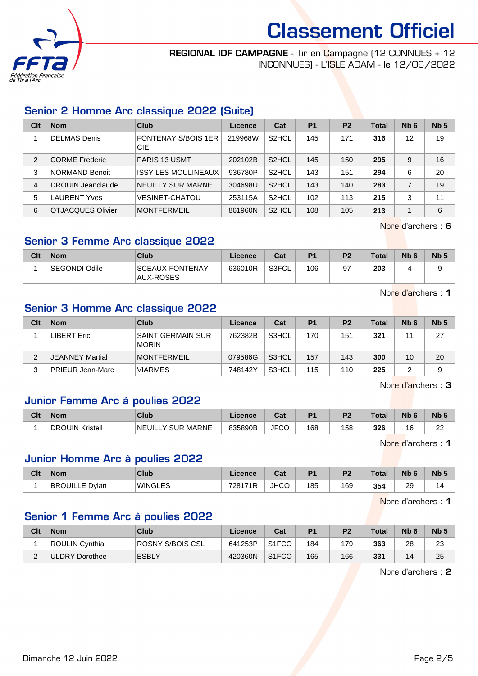

#### REGIONAL IDF CAMPAGNE - Tir en Campagne (12 CONNUES + 12 INCONNUES) - L'ISLE ADAM - le 12/06/2022

# Senior 2 Homme Arc classique 2022 (Suite)

| Clt            | <b>Nom</b>               | Club                                     | Licence | Cat                | <b>P1</b> | P <sub>2</sub> | <b>Total</b> | Nb <sub>6</sub> | Nb <sub>5</sub> |
|----------------|--------------------------|------------------------------------------|---------|--------------------|-----------|----------------|--------------|-----------------|-----------------|
|                | <b>DELMAS Denis</b>      | <b>FONTENAY S/BOIS 1ER</b><br><b>CIE</b> | 219968W | S <sub>2</sub> HCL | 145       | 171            | 316          | 12              | 19              |
| 2              | CORME Frederic           | <b>PARIS 13 USMT</b>                     | 202102B | S <sub>2</sub> HCL | 145       | 150            | 295          | 9               | 16              |
| 3              | <b>NORMAND Benoit</b>    | <b>ISSY LES MOULINEAUX</b>               | 936780P | S <sub>2</sub> HCL | 143       | 151            | 294          | 6               | 20              |
| $\overline{4}$ | <b>DROUIN Jeanclaude</b> | <b>NEUILLY SUR MARNE</b>                 | 304698U | S <sub>2</sub> HCL | 143       | 140            | 283          |                 | 19              |
| 5              | <b>LAURENT Yves</b>      | <b>VESINET-CHATOU</b>                    | 253115A | S <sub>2</sub> HCL | 102       | 113            | 215          | 3               | 11              |
| 6              | <b>OTJACQUES Olivier</b> | <b>MONTFERMEIL</b>                       | 861960N | S <sub>2</sub> HCL | 108       | 105            | 213          |                 | 6               |

Nbre d'archers : 6

#### Senior 3 Femme Arc classique 2022

| Clt | <b>Nom</b>    | Club                                 | Licence | Cat   | P <sub>1</sub> | P <sub>2</sub> | <b>Total</b> | N <sub>b</sub> 6 | N <sub>b</sub> |
|-----|---------------|--------------------------------------|---------|-------|----------------|----------------|--------------|------------------|----------------|
|     | SEGONDI Odile | SCEAUX-FONTENAY-<br><b>AUX-ROSES</b> | 636010R | S3FCL | 106            | 97             | 203          |                  |                |

Nbre d'archers : 1

#### Senior 3 Homme Arc classique 2022

| Clt | <b>Nom</b>             | Club                                     | Licence | Cat   | P <sub>1</sub> | P <sub>2</sub> | <b>Total</b> | N <sub>b</sub> 6 | Nb <sub>5</sub> |
|-----|------------------------|------------------------------------------|---------|-------|----------------|----------------|--------------|------------------|-----------------|
|     | LIBERT Eric            | <b>SAINT GERMAIN SUR</b><br><b>MORIN</b> | 762382B | S3HCL | 170            | 151            | 321          |                  | 27              |
|     | <b>JEANNEY Martial</b> | <b>IMONTFERMEIL</b>                      | 079586G | S3HCL | 157            | 143            | 300          | 10               | 20              |
| 3   | PRIEUR Jean-Marc       | <b>VIARMES</b>                           | 748142Y | S3HCL | 115            | 110            | 225          |                  | 9               |

Nbre d'archers : 3

# Junior Femme Arc à poulies 2022

| Clt | <b>Nom</b>             | <b>Club</b>                             | ∟icence | ◠∼<br>ual   | D <sub>1</sub> | D <sub>2</sub> | Total | Nb                         | <b>N<sub>b</sub></b> |
|-----|------------------------|-----------------------------------------|---------|-------------|----------------|----------------|-------|----------------------------|----------------------|
|     | <b>DROUIN Kristell</b> | <b>SUR MARNE</b><br>INEUILL .<br>$\vee$ | 835890B | <b>JFCO</b> | 168            | 158            | 326   | $\overline{ }$<br><b>U</b> | $\sim$<br>--         |

Nbre d'archers : 1

#### Junior Homme Arc à poulies 2022

| Clt | <b>Nom</b>                   | Club           | Licence | $R_{\rm{eff}}$<br>⊍ou | D4  | D0  | <b>Total</b> | <b>Nb</b>      | N <sub>b</sub> 5 |
|-----|------------------------------|----------------|---------|-----------------------|-----|-----|--------------|----------------|------------------|
|     | <b>BROUILLE</b><br>' E Dylan | <b>WINGLES</b> | 728171R | <b>JHCO</b>           | 185 | 169 | 354          | ാവ<br>20<br>__ | 14               |

Nbre d'archers : 1

# Senior 1 Femme Arc à poulies 2022

| Clt | <b>Nom</b>     | Club             | Licence | Cat                | P <sub>1</sub> | P <sub>2</sub> | <b>Total</b> | N <sub>b</sub> <sub>6</sub> | Nb <sub>3</sub> |
|-----|----------------|------------------|---------|--------------------|----------------|----------------|--------------|-----------------------------|-----------------|
|     | ROULIN Cynthia | ROSNY S/BOIS CSL | 641253P | S <sub>1</sub> FCO | 184            | 179            | 363          | 28                          | 23              |
|     | ULDRY Dorothee | <b>ESBLY</b>     | 420360N | S <sub>1</sub> FCO | 165            | 166            | 331          | $\vert 4$                   | 25              |

Nbre d'archers : 2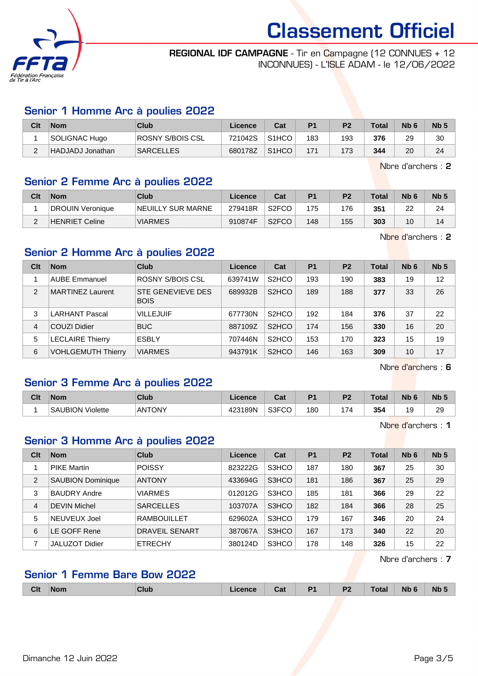

#### REGIONAL IDF CAMPAGNE - Tir en Campagne (12 CONNUES + 12 INCONNUES) - L'ISLE ADAM - le 12/06/2022

# Senior 1 Homme Arc à poulies 2022

| Clt    | <b>Nom</b>       | Club             | Licence | Cat                | P <sub>1</sub> | P <sub>2</sub> | <b>Total</b> | N <sub>b</sub> 6 | Nb: |
|--------|------------------|------------------|---------|--------------------|----------------|----------------|--------------|------------------|-----|
|        | SOLIGNAC Hugo    | ROSNY S/BOIS CSL | 721042S | S <sub>1</sub> HCO | 183            | 193            | 376          | 29               | 30  |
| $\sim$ | HADJADJ Jonathan | <b>SARCELLES</b> | 680178Z | S <sub>1</sub> HCO | 171            | 173            | 344          | 20               | 24  |

Nbre d'archers : 2

#### Senior 2 Femme Arc à poulies 2022

| Clt | <b>Nom</b>       | Club              | Licence | Cat                | P <sub>1</sub> | P <sub>2</sub> | <b>Total</b> | N <sub>b</sub> 6 | N <sub>b</sub> <sub>5</sub> |
|-----|------------------|-------------------|---------|--------------------|----------------|----------------|--------------|------------------|-----------------------------|
|     | DROUIN Veronique | NEUILLY SUR MARNE | 279418R | S <sub>2</sub> FCO | 175            | 176            | 351          | ົ<br>ے           | 24                          |
| ⌒   | HENRIET Celine   | <b>VIARMES</b>    | 910874F | S <sub>2</sub> FCO | 148            | 155            | 303          | 10               | 14                          |

Nbre d'archers : 2

# Senior 2 Homme Arc à poulies 2022

| Clt            | <b>Nom</b>                | Club                             | Licence | Cat                            | <b>P1</b> | P <sub>2</sub> | <b>Total</b> | Nb <sub>6</sub> | Nb <sub>5</sub> |
|----------------|---------------------------|----------------------------------|---------|--------------------------------|-----------|----------------|--------------|-----------------|-----------------|
|                | <b>AUBE Emmanuel</b>      | ROSNY S/BOIS CSL                 | 639741W | S <sub>2</sub> HCO             | 193       | 190            | 383          | 19              | 12              |
| $\overline{2}$ | <b>MARTINEZ Laurent</b>   | STE GENEVIEVE DES<br><b>BOIS</b> | 689932B | S <sub>2</sub> HCO             | 189       | 188            | 377          | 33              | 26              |
| 3              | <b>LARHANT Pascal</b>     | <b>VILLEJUIF</b>                 | 677730N | S <sub>2</sub> H <sub>CO</sub> | 192       | 184            | 376          | 37              | 22              |
| 4              | COUZI Didier              | <b>BUC</b>                       | 887109Z | S <sub>2</sub> H <sub>CO</sub> | 174       | 156            | 330          | 16              | 20              |
| 5              | <b>LECLAIRE Thierry</b>   | <b>ESBLY</b>                     | 707446N | S <sub>2</sub> H <sub>CO</sub> | 153       | 170            | 323          | 15              | 19              |
| 6              | <b>VOHLGEMUTH Thierry</b> | <b>VIARMES</b>                   | 943791K | S <sub>2</sub> HCO             | 146       | 163            | 309          | 10              | 17              |

Nbre d'archers : 6

## Senior 3 Femme Arc à poulies 2022

| Clt | <b>Nom</b>              | Club          | Licence | ີາ<br>uai   | D <sub>4</sub> | D.                                    | Total | Nb 6     | <b>Nb</b> |
|-----|-------------------------|---------------|---------|-------------|----------------|---------------------------------------|-------|----------|-----------|
|     | <b>SAUBION Violette</b> | <b>ANTONY</b> | 423189N | S3FCO<br>◡◡ | 180            | $\cdot$ $\rightarrow$ $\cdot$<br>. 74 | 354   | 1 C<br>v | 29        |

Nbre d'archers : 1

# Senior 3 Homme Arc à poulies 2022

| Clt | <b>Nom</b>               | Club               | Licence | Cat   | <b>P1</b> | P <sub>2</sub> | Total | Nb <sub>6</sub> | Nb <sub>5</sub> |
|-----|--------------------------|--------------------|---------|-------|-----------|----------------|-------|-----------------|-----------------|
|     | <b>PIKE Martin</b>       | <b>POISSY</b>      | 823222G | S3HCO | 187       | 180            | 367   | 25              | 30              |
| 2   | <b>SAUBION Dominique</b> | <b>ANTONY</b>      | 433694G | S3HCO | 181       | 186            | 367   | 25              | 29              |
| 3   | <b>BAUDRY Andre</b>      | VIARMES            | 012012G | S3HCO | 185       | 181            | 366   | 29              | 22              |
| 4   | <b>DEVIN Michel</b>      | <b>SARCELLES</b>   | 103707A | S3HCO | 182       | 184            | 366   | 28              | 25              |
| 5   | NEUVEUX Joel             | <b>RAMBOUILLET</b> | 629602A | S3HCO | 179       | 167            | 346   | 20              | 24              |
| 6   | LE GOFF Rene             | DRAVEIL SENART     | 387067A | S3HCO | 167       | 173            | 340   | 22              | 20              |
|     | <b>JALUZOT Didier</b>    | <b>ETRECHY</b>     | 380124D | S3HCO | 178       | 148            | 326   | 15              | 22              |

Nbre d'archers : 7

#### Senior 1 Femme Bare Bow 2022

|  | <b>Clt</b> | <b>Nom</b> | Club | icence | <b>Tak</b><br>ual | D <sub>1</sub><br>. . | D <sub>2</sub><br>$\sim$ | Total | <b>Nb</b> | <b>Nb</b> |
|--|------------|------------|------|--------|-------------------|-----------------------|--------------------------|-------|-----------|-----------|
|--|------------|------------|------|--------|-------------------|-----------------------|--------------------------|-------|-----------|-----------|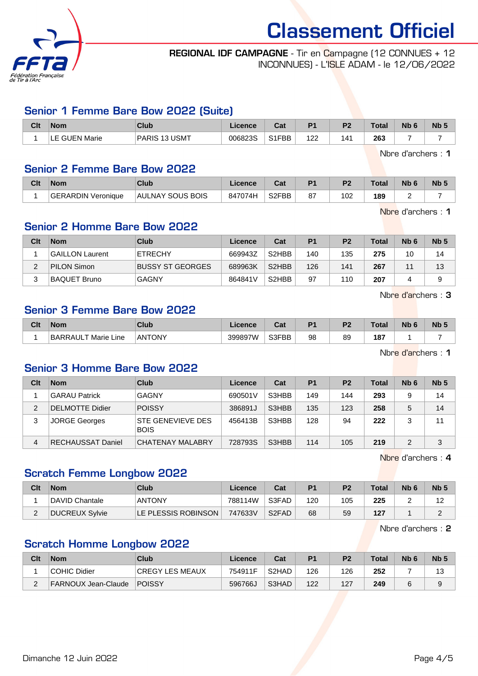

#### REGIONAL IDF CAMPAGNE - Tir en Campagne (12 CONNUES + 12 INCONNUES) - L'ISLE ADAM - le 12/06/2022

#### Senior 1 Femme Bare Bow 2022 (Suite)

| Clt | <b>Nom</b>              | <b>Club</b>                          | Licence | <b>That</b><br>⊍a | D <sub>4</sub> | D0  | Total <sub>z</sub> | <b>Nb</b> | N <sub>b</sub> 5 |
|-----|-------------------------|--------------------------------------|---------|-------------------|----------------|-----|--------------------|-----------|------------------|
|     | <b>GUEN Marie</b><br>-- | <b>USMT</b><br><b>PARIS</b><br>- 1 2 | 006823S | S1FBB             | מפו<br>"       | 4′، | 263                |           |                  |

Nbre d'archers : 1

#### Senior 2 Femme Bare Bow 2022

| Clt | Nom                       | <b>Club</b>      | <b>Licence</b> | va.                | P <sub>1</sub> | P <sub>2</sub> | Total | Nb | <b>N<sub>b</sub></b> |
|-----|---------------------------|------------------|----------------|--------------------|----------------|----------------|-------|----|----------------------|
|     | <b>GERARDIN Veronique</b> | AULNAY SOUS BOIS | 847074H        | S <sub>2</sub> FBB | 07             | 102            | 189   |    |                      |

Nbre d'archers : 1

# Senior 2 Homme Bare Bow 2022

| Clt | <b>Nom</b>             | Club             | Licence | Cat                | P <sub>1</sub> | P <sub>2</sub> | <b>Total</b> | N <sub>b</sub> 6 | Nb <sub>5</sub> |
|-----|------------------------|------------------|---------|--------------------|----------------|----------------|--------------|------------------|-----------------|
|     | <b>GAILLON Laurent</b> | <b>ETRECHY</b>   | 669943Z | S <sub>2</sub> HBB | 140            | 135            | 275          | 10               | 14              |
|     | PILON Simon            | BUSSY ST GEORGES | 689963K | S <sub>2</sub> HBB | 126            | 141            | 267          | $\cdot$          | 13              |
|     | BAQUET Bruno           | <b>GAGNY</b>     | 864841V | S <sub>2</sub> HBB | 97             | 110            | 207          |                  | 9               |

Nbre d'archers : 3

#### Senior 3 Femme Bare Bow 2022

| Clt | <b>Nom</b>          | <b>Club</b> | Licence | ∩~∙<br>υa | D4        | DC. | Tota          | <b>N<sub>b</sub></b> | N <sub>b</sub> |
|-----|---------------------|-------------|---------|-----------|-----------|-----|---------------|----------------------|----------------|
|     | BARRAULT Marie Line | ANTONY      | 399897W | S3FBB     | 98<br>- - | 89  | 187<br>$\sim$ |                      |                |

Nbre d'archers : 1

# Senior 3 Homme Bare Bow 2022

| Clt | <b>Nom</b>               | <b>Club</b>                      | Licence | Cat   | P <sub>1</sub> | P <sub>2</sub> | <b>Total</b> | N <sub>b</sub> 6 | Nb <sub>5</sub> |
|-----|--------------------------|----------------------------------|---------|-------|----------------|----------------|--------------|------------------|-----------------|
|     | <b>GARAU Patrick</b>     | <b>GAGNY</b>                     | 690501V | S3HBB | 149            | 144            | 293          |                  | 14              |
| 2   | <b>DELMOTTE Didier</b>   | <b>POISSY</b>                    | 386891J | S3HBB | 135            | 123            | 258          | 5                | 14              |
| 3   | <b>JORGE Georges</b>     | STE GENEVIEVE DES<br><b>BOIS</b> | 456413B | S3HBB | 128            | 94             | 222          |                  | 11              |
| 4   | <b>RECHAUSSAT Daniel</b> | <b>CHATENAY MALABRY</b>          | 728793S | S3HBB | 114            | 105            | 219          | 2                | 3               |

Nbre d'archers : 4

# Scratch Femme Longbow 2022

| Clt      | <b>Nom</b>     | Club                | Licence | Cat                            | P <sub>1</sub> | P <sub>2</sub> | <b>Total</b> | N <sub>b</sub> 6 | Nb <sub>5</sub> |
|----------|----------------|---------------------|---------|--------------------------------|----------------|----------------|--------------|------------------|-----------------|
|          | DAVID Chantale | <b>ANTONY</b>       | 788114W | S3FAD                          | 120            | 105            | 225          |                  | 10<br>ے ا       |
| <u>_</u> | DUCREUX Sylvie | LE PLESSIS ROBINSON | 747633V | S <sub>2</sub> F <sub>AD</sub> | 68             | 59             | 127          |                  |                 |

Nbre d'archers : 2

#### Scratch Homme Longbow 2022

| Clt | <b>Nom</b>          | Club             | Licence | Cat                | <b>P1</b> | P <sub>2</sub> | <b>Total</b> | Nb <sub>6</sub> | N <sub>b</sub> |
|-----|---------------------|------------------|---------|--------------------|-----------|----------------|--------------|-----------------|----------------|
|     | <b>COHIC Didier</b> | 'CREGY LES MEAUX | 754911F | S <sub>2</sub> HAD | 126       | 126            | 252          |                 |                |
| -   | FARNOUX Jean-Claude | POISSY           | 596766J | S3HAD              | 122       | 127            | 249          |                 |                |